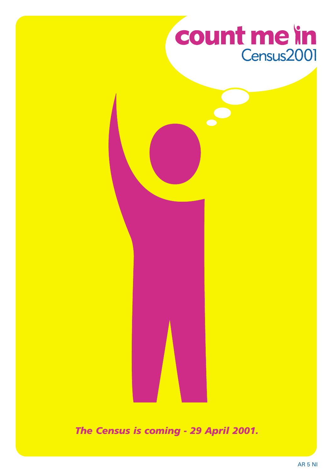## count me in Census2001